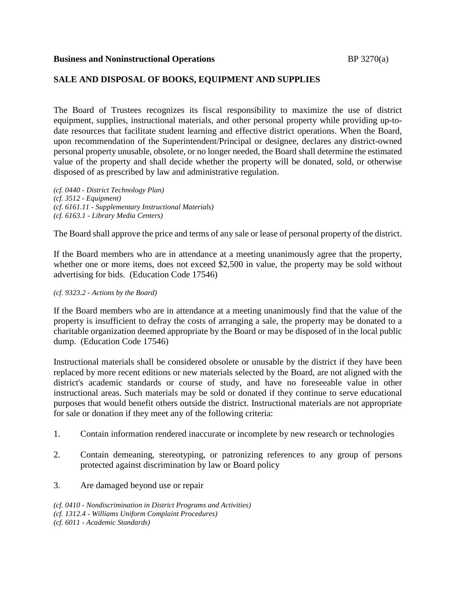### **Business and Noninstructional Operations** BP 3270(a)

## **SALE AND DISPOSAL OF BOOKS, EQUIPMENT AND SUPPLIES**

The Board of Trustees recognizes its fiscal responsibility to maximize the use of district equipment, supplies, instructional materials, and other personal property while providing up-todate resources that facilitate student learning and effective district operations. When the Board, upon recommendation of the Superintendent/Principal or designee, declares any district-owned personal property unusable, obsolete, or no longer needed, the Board shall determine the estimated value of the property and shall decide whether the property will be donated, sold, or otherwise disposed of as prescribed by law and administrative regulation.

*(cf. 0440 - District Technology Plan) (cf. 3512 - Equipment) (cf. 6161.11 - Supplementary Instructional Materials) (cf. 6163.1 - Library Media Centers)*

The Board shall approve the price and terms of any sale or lease of personal property of the district.

If the Board members who are in attendance at a meeting unanimously agree that the property, whether one or more items, does not exceed \$2,500 in value, the property may be sold without advertising for bids. (Education Code 17546)

#### *(cf. 9323.2 - Actions by the Board)*

If the Board members who are in attendance at a meeting unanimously find that the value of the property is insufficient to defray the costs of arranging a sale, the property may be donated to a charitable organization deemed appropriate by the Board or may be disposed of in the local public dump. (Education Code 17546)

Instructional materials shall be considered obsolete or unusable by the district if they have been replaced by more recent editions or new materials selected by the Board, are not aligned with the district's academic standards or course of study, and have no foreseeable value in other instructional areas. Such materials may be sold or donated if they continue to serve educational purposes that would benefit others outside the district. Instructional materials are not appropriate for sale or donation if they meet any of the following criteria:

- 1. Contain information rendered inaccurate or incomplete by new research or technologies
- 2. Contain demeaning, stereotyping, or patronizing references to any group of persons protected against discrimination by law or Board policy
- 3. Are damaged beyond use or repair

```
(cf. 0410 - Nondiscrimination in District Programs and Activities)
(cf. 1312.4 - Williams Uniform Complaint Procedures)
(cf. 6011 - Academic Standards)
```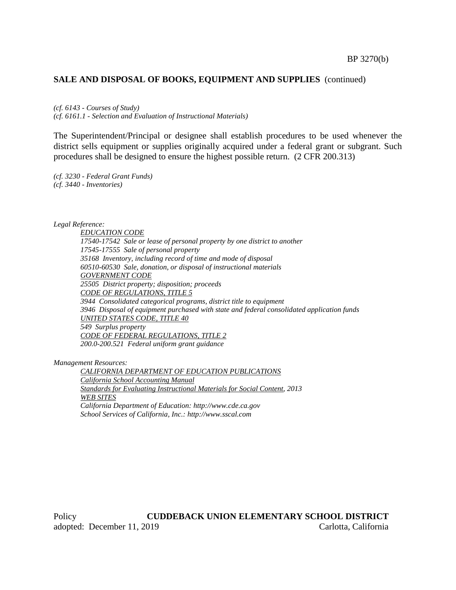#### **SALE AND DISPOSAL OF BOOKS, EQUIPMENT AND SUPPLIES** (continued)

*(cf. 6143 - Courses of Study) (cf. 6161.1 - Selection and Evaluation of Instructional Materials)*

The Superintendent/Principal or designee shall establish procedures to be used whenever the district sells equipment or supplies originally acquired under a federal grant or subgrant. Such procedures shall be designed to ensure the highest possible return. (2 CFR 200.313)

*(cf. 3230 - Federal Grant Funds) (cf. 3440 - Inventories)*

*Legal Reference:*

*EDUCATION CODE 17540-17542 Sale or lease of personal property by one district to another 17545-17555 Sale of personal property 35168 Inventory, including record of time and mode of disposal 60510-60530 Sale, donation, or disposal of instructional materials GOVERNMENT CODE 25505 District property; disposition; proceeds CODE OF REGULATIONS, TITLE 5 3944 Consolidated categorical programs, district title to equipment 3946 Disposal of equipment purchased with state and federal consolidated application funds UNITED STATES CODE, TITLE 40 549 Surplus property CODE OF FEDERAL REGULATIONS, TITLE 2 200.0-200.521 Federal uniform grant guidance*

*Management Resources:*

*CALIFORNIA DEPARTMENT OF EDUCATION PUBLICATIONS California School Accounting Manual Standards for Evaluating Instructional Materials for Social Content, 2013 WEB SITES California Department of Education: http://www.cde.ca.gov School Services of California, Inc.: http://www.sscal.com*

Policy **CUDDEBACK UNION ELEMENTARY SCHOOL DISTRICT** adopted: December 11, 2019 Carlotta, California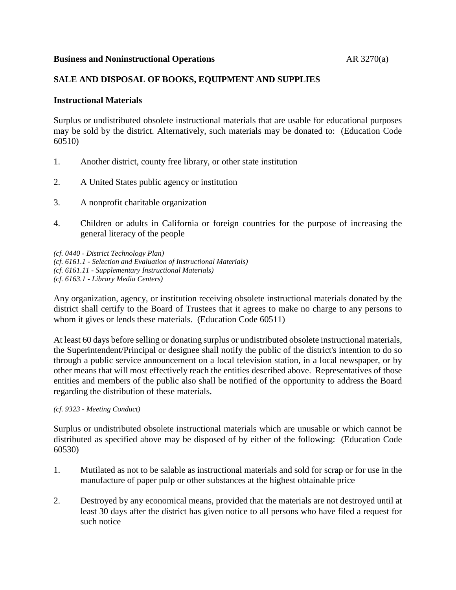## **Business and Noninstructional Operations** AR 3270(a)

# **SALE AND DISPOSAL OF BOOKS, EQUIPMENT AND SUPPLIES**

### **Instructional Materials**

Surplus or undistributed obsolete instructional materials that are usable for educational purposes may be sold by the district. Alternatively, such materials may be donated to: (Education Code 60510)

- 1. Another district, county free library, or other state institution
- 2. A United States public agency or institution
- 3. A nonprofit charitable organization
- 4. Children or adults in California or foreign countries for the purpose of increasing the general literacy of the people

*(cf. 0440 - District Technology Plan) (cf. 6161.1 - Selection and Evaluation of Instructional Materials) (cf. 6161.11 - Supplementary Instructional Materials) (cf. 6163.1 - Library Media Centers)*

Any organization, agency, or institution receiving obsolete instructional materials donated by the district shall certify to the Board of Trustees that it agrees to make no charge to any persons to whom it gives or lends these materials. (Education Code 60511)

At least 60 days before selling or donating surplus or undistributed obsolete instructional materials, the Superintendent/Principal or designee shall notify the public of the district's intention to do so through a public service announcement on a local television station, in a local newspaper, or by other means that will most effectively reach the entities described above. Representatives of those entities and members of the public also shall be notified of the opportunity to address the Board regarding the distribution of these materials.

#### *(cf. 9323 - Meeting Conduct)*

Surplus or undistributed obsolete instructional materials which are unusable or which cannot be distributed as specified above may be disposed of by either of the following: (Education Code 60530)

- 1. Mutilated as not to be salable as instructional materials and sold for scrap or for use in the manufacture of paper pulp or other substances at the highest obtainable price
- 2. Destroyed by any economical means, provided that the materials are not destroyed until at least 30 days after the district has given notice to all persons who have filed a request for such notice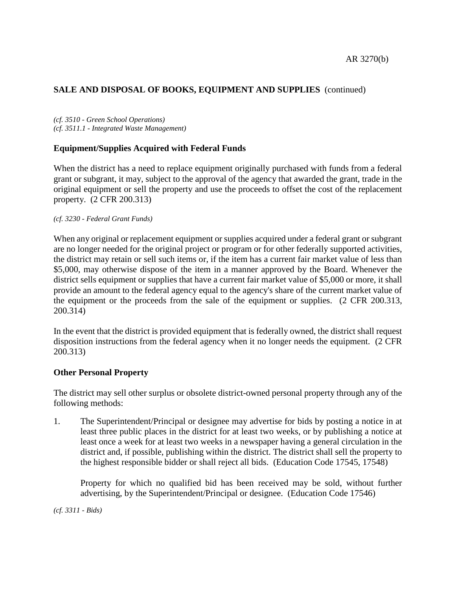# **SALE AND DISPOSAL OF BOOKS, EQUIPMENT AND SUPPLIES** (continued)

*(cf. 3510 - Green School Operations) (cf. 3511.1 - Integrated Waste Management)*

## **Equipment/Supplies Acquired with Federal Funds**

When the district has a need to replace equipment originally purchased with funds from a federal grant or subgrant, it may, subject to the approval of the agency that awarded the grant, trade in the original equipment or sell the property and use the proceeds to offset the cost of the replacement property. (2 CFR 200.313)

### *(cf. 3230 - Federal Grant Funds)*

When any original or replacement equipment or supplies acquired under a federal grant or subgrant are no longer needed for the original project or program or for other federally supported activities, the district may retain or sell such items or, if the item has a current fair market value of less than \$5,000, may otherwise dispose of the item in a manner approved by the Board. Whenever the district sells equipment or supplies that have a current fair market value of \$5,000 or more, it shall provide an amount to the federal agency equal to the agency's share of the current market value of the equipment or the proceeds from the sale of the equipment or supplies. (2 CFR 200.313, 200.314)

In the event that the district is provided equipment that is federally owned, the district shall request disposition instructions from the federal agency when it no longer needs the equipment. (2 CFR 200.313)

## **Other Personal Property**

The district may sell other surplus or obsolete district-owned personal property through any of the following methods:

1. The Superintendent/Principal or designee may advertise for bids by posting a notice in at least three public places in the district for at least two weeks, or by publishing a notice at least once a week for at least two weeks in a newspaper having a general circulation in the district and, if possible, publishing within the district. The district shall sell the property to the highest responsible bidder or shall reject all bids. (Education Code 17545, 17548)

Property for which no qualified bid has been received may be sold, without further advertising, by the Superintendent/Principal or designee. (Education Code 17546)

*(cf. 3311 - Bids)*